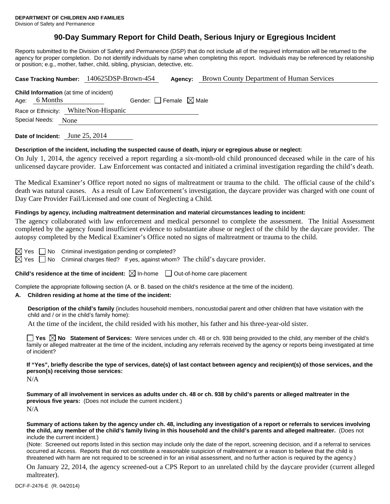# **90-Day Summary Report for Child Death, Serious Injury or Egregious Incident**

Reports submitted to the Division of Safety and Permanence (DSP) that do not include all of the required information will be returned to the agency for proper completion. Do not identify individuals by name when completing this report. Individuals may be referenced by relationship or position; e.g., mother, father, child, sibling, physician, detective, etc.

|                | <b>Brown County Department of Human Services</b><br>Case Tracking Number: 140625DSP-Brown-454<br>Agency: |
|----------------|----------------------------------------------------------------------------------------------------------|
|                | <b>Child Information</b> (at time of incident)                                                           |
| Age: 6 Months  | Gender: Female $\boxtimes$ Male                                                                          |
|                | Race or Ethnicity: White/Non-Hispanic                                                                    |
| Special Needs: | None                                                                                                     |
|                |                                                                                                          |

**Date of Incident:** June 25, 2014

#### **Description of the incident, including the suspected cause of death, injury or egregious abuse or neglect:**

On July 1, 2014, the agency received a report regarding a six-month-old child pronounced deceased while in the care of his unlicensed daycare provider. Law Enforcement was contacted and initiated a criminal investigation regarding the child's death.

The Medical Examiner's Office report noted no signs of maltreatment or trauma to the child. The official cause of the child's death was natural causes. As a result of Law Enforcement's investigation, the daycare provider was charged with one count of Day Care Provider Fail/Licensed and one count of Neglecting a Child.

#### **Findings by agency, including maltreatment determination and material circumstances leading to incident:**

The agency collaborated with law enforcement and medical personnel to complete the assessment. The Initial Assessment completed by the agency found insufficient evidence to substantiate abuse or neglect of the child by the daycare provider. The autopsy completed by the Medical Examiner's Office noted no signs of maltreatment or trauma to the child.

 $\boxtimes$  Yes  $\Box$  No Criminal investigation pending or completed?

 $\boxtimes$  Yes  $\Box$  No Criminal charges filed? If yes, against whom? The child's daycare provider.

**Child's residence at the time of incident:**  $\boxtimes$  In-home  $\Box$  Out-of-home care placement

Complete the appropriate following section (A. or B. based on the child's residence at the time of the incident).

#### **A. Children residing at home at the time of the incident:**

**Description of the child's family** (includes household members, noncustodial parent and other children that have visitation with the child and / or in the child's family home):

At the time of the incident, the child resided with his mother, his father and his three-year-old sister.

■ Yes △ No Statement of Services: Were services under ch. 48 or ch. 938 being provided to the child, any member of the child's family or alleged maltreater at the time of the incident, including any referrals received by the agency or reports being investigated at time of incident?

**If "Yes", briefly describe the type of services, date(s) of last contact between agency and recipient(s) of those services, and the person(s) receiving those services:** 

N/A

**Summary of all involvement in services as adults under ch. 48 or ch. 938 by child's parents or alleged maltreater in the previous five years:** (Does not include the current incident.) N/A

**Summary of actions taken by the agency under ch. 48, including any investigation of a report or referrals to services involving the child, any member of the child's family living in this household and the child's parents and alleged maltreater.** (Does not include the current incident.)

(Note: Screened out reports listed in this section may include only the date of the report, screening decision, and if a referral to services occurred at Access. Reports that do not constitute a reasonable suspicion of maltreatment or a reason to believe that the child is threatened with harm are not required to be screened in for an initial assessment, and no further action is required by the agency.)

On January 22, 2014, the agency screened-out a CPS Report to an unrelated child by the daycare provider (current alleged maltreater).